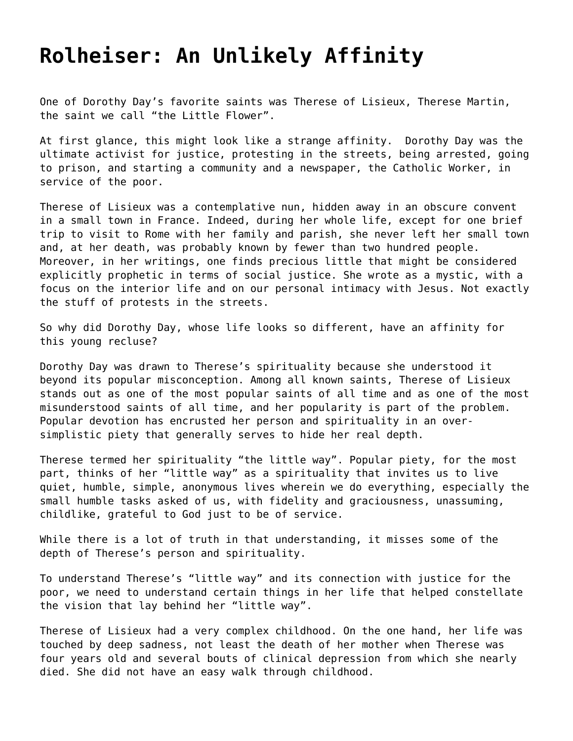## **[Rolheiser: An Unlikely Affinity](https://grandinmedia.ca/rolheiser-an-unlikely-affinity/)**

One of Dorothy Day's favorite saints was Therese of Lisieux, Therese Martin, the saint we call "the Little Flower".

At first glance, this might look like a strange affinity. Dorothy Day was the ultimate activist for justice, protesting in the streets, being arrested, going to prison, and starting a community and a newspaper, the Catholic Worker, in service of the poor.

Therese of Lisieux was a contemplative nun, hidden away in an obscure convent in a small town in France. Indeed, during her whole life, except for one brief trip to visit to Rome with her family and parish, she never left her small town and, at her death, was probably known by fewer than two hundred people. Moreover, in her writings, one finds precious little that might be considered explicitly prophetic in terms of social justice. She wrote as a mystic, with a focus on the interior life and on our personal intimacy with Jesus. Not exactly the stuff of protests in the streets.

So why did Dorothy Day, whose life looks so different, have an affinity for this young recluse?

Dorothy Day was drawn to Therese's spirituality because she understood it beyond its popular misconception. Among all known saints, Therese of Lisieux stands out as one of the most popular saints of all time and as one of the most misunderstood saints of all time, and her popularity is part of the problem. Popular devotion has encrusted her person and spirituality in an oversimplistic piety that generally serves to hide her real depth.

Therese termed her spirituality "the little way". Popular piety, for the most part, thinks of her "little way" as a spirituality that invites us to live quiet, humble, simple, anonymous lives wherein we do everything, especially the small humble tasks asked of us, with fidelity and graciousness, unassuming, childlike, grateful to God just to be of service.

While there is a lot of truth in that understanding, it misses some of the depth of Therese's person and spirituality.

To understand Therese's "little way" and its connection with justice for the poor, we need to understand certain things in her life that helped constellate the vision that lay behind her "little way".

Therese of Lisieux had a very complex childhood. On the one hand, her life was touched by deep sadness, not least the death of her mother when Therese was four years old and several bouts of clinical depression from which she nearly died. She did not have an easy walk through childhood.